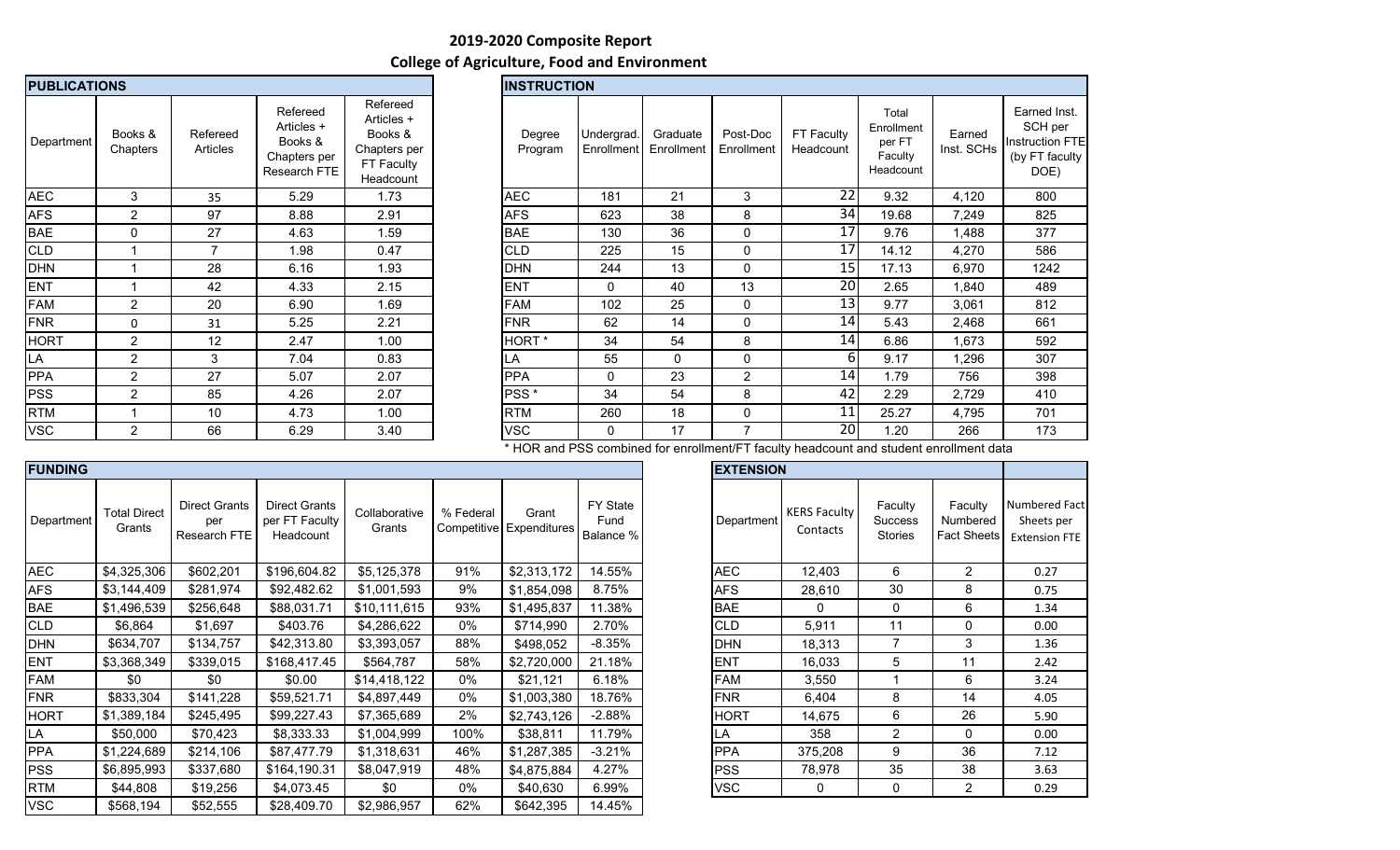## **2019-2020 Composite Report College of Agriculture, Food and Environment**

| <b>PUBLICATIONS</b> |                     |                             | <b>INSTRUCTION</b>                                                |                                                                              |                   |          |
|---------------------|---------------------|-----------------------------|-------------------------------------------------------------------|------------------------------------------------------------------------------|-------------------|----------|
| Department          | Books &<br>Chapters | Refereed<br><b>Articles</b> | Refereed<br>Articles +<br>Books &<br>Chapters per<br>Research FTE | Refereed<br>Articles +<br>Books &<br>Chapters per<br>FT Faculty<br>Headcount | Degree<br>Program | Ur<br>Er |
| <b>AEC</b>          | 3                   | 35                          | 5.29                                                              | 1.73                                                                         | <b>AEC</b>        |          |
| <b>AFS</b>          | $\overline{2}$      | 97                          | 8.88                                                              | 2.91                                                                         | <b>AFS</b>        |          |
| <b>BAE</b>          | $\Omega$            | 27                          | 4.63                                                              | 1.59                                                                         | <b>BAE</b>        |          |
| <b>CLD</b>          | 1                   | $\overline{7}$              | 1.98                                                              | 0.47                                                                         | <b>CLD</b>        |          |
| <b>DHN</b>          | 1                   | 28                          | 6.16                                                              | 1.93                                                                         | <b>DHN</b>        |          |
| <b>ENT</b>          | 1                   | 42                          | 4.33                                                              | 2.15                                                                         | <b>ENT</b>        |          |
| <b>FAM</b>          | $\overline{2}$      | 20                          | 6.90                                                              | 1.69                                                                         | <b>FAM</b>        |          |
| <b>FNR</b>          | 0                   | 31                          | 5.25                                                              | 2.21                                                                         | <b>FNR</b>        |          |
| <b>HORT</b>         | $\overline{2}$      | 12                          | 2.47                                                              | 1.00                                                                         | HORT <sup>*</sup> |          |
| LA                  | $\overline{2}$      | 3                           | 7.04                                                              | 0.83                                                                         | LA                |          |
| <b>PPA</b>          | 2                   | 27                          | 5.07                                                              | 2.07                                                                         | <b>PPA</b>        |          |
| <b>PSS</b>          | $\overline{2}$      | 85                          | 4.26                                                              | 2.07                                                                         | PSS <sup>*</sup>  |          |
| <b>RTM</b>          | 1                   | 10                          | 4.73                                                              | 1.00                                                                         | <b>RTM</b>        |          |
| <b>VSC</b>          | $\overline{2}$      | 66                          | 6.29                                                              | 3.40                                                                         | VSC               |          |

| <b>PUBLICATIONS</b> |                     |                      |                                                                   |                                                                              | <b>INSTRUCTION</b> |                            |                        |                                 |                         |                                                       |                      |                                                                             |
|---------------------|---------------------|----------------------|-------------------------------------------------------------------|------------------------------------------------------------------------------|--------------------|----------------------------|------------------------|---------------------------------|-------------------------|-------------------------------------------------------|----------------------|-----------------------------------------------------------------------------|
| Department          | Books &<br>Chapters | Refereed<br>Articles | Refereed<br>Articles +<br>Books &<br>Chapters per<br>Research FTE | Refereed<br>Articles +<br>Books &<br>Chapters per<br>FT Faculty<br>Headcount | Degree<br>Program  | Undergrad.<br>Enrollment   | Graduate<br>Enrollment | Post-Doc<br>Enrollment          | FT Faculty<br>Headcount | Total<br>Enrollment<br>per FT<br>Faculty<br>Headcount | Earned<br>Inst. SCHs | Earned Inst.<br>SCH per<br><b>Instruction FTE</b><br>(by FT faculty<br>DOE) |
| AEC                 | 3                   | 35                   | 5.29                                                              | 1.73                                                                         | <b>AEC</b>         | 181                        | 21                     | 3                               | 22                      | 9.32                                                  | 4,120                | 800                                                                         |
| AFS                 | $\overline{c}$      | 97                   | 8.88                                                              | 2.91                                                                         | <b>AFS</b>         | 623                        | 38                     | 8                               | 34                      | 19.68                                                 | 7,249                | 825                                                                         |
| BAE                 | $\mathbf 0$         | 27                   | 4.63                                                              | 1.59                                                                         | <b>BAE</b>         | 130                        | 36                     | 0                               | 17                      | 9.76                                                  | 1,488                | 377                                                                         |
| <b>CLD</b>          |                     | $\overline{7}$       | 1.98                                                              | 0.47                                                                         | <b>CLD</b>         | 225                        | 15                     | 0                               | 17                      | 14.12                                                 | 4,270                | 586                                                                         |
| DHN                 |                     | 28                   | 6.16                                                              | 1.93                                                                         | <b>DHN</b>         | 244                        | 13                     | 0                               | 15                      | 17.13                                                 | 6,970                | 1242                                                                        |
| ENT                 |                     | 42                   | 4.33                                                              | 2.15                                                                         | <b>ENT</b>         | 0                          | 40                     | 13                              | 20                      | 2.65                                                  | 1,840                | 489                                                                         |
| FAM                 | $\overline{2}$      | 20                   | 6.90                                                              | 1.69                                                                         | <b>FAM</b>         | 102                        | 25                     | $\mathbf 0$                     | 13                      | 9.77                                                  | 3,061                | 812                                                                         |
| <b>FNR</b>          | 0                   | 31                   | 5.25                                                              | 2.21                                                                         | <b>FNR</b>         | 62                         | 14                     | 0                               | 14                      | 5.43                                                  | 2,468                | 661                                                                         |
| HORT                | $\overline{2}$      | 12                   | 2.47                                                              | 1.00                                                                         | HORT <sup>*</sup>  | 34                         | 54                     | 8                               | 14                      | 6.86                                                  | 1,673                | 592                                                                         |
| LA                  | 2                   | 3                    | 7.04                                                              | 0.83                                                                         | LA                 | 55                         | $\mathbf{0}$           | 0                               | 6                       | 9.17                                                  | 1,296                | 307                                                                         |
| PPA                 | $\overline{c}$      | 27                   | 5.07                                                              | 2.07                                                                         | <b>PPA</b>         | 0                          | 23                     | $\overline{2}$                  | 14                      | 1.79                                                  | 756                  | 398                                                                         |
| PSS                 | 2                   | 85                   | 4.26                                                              | 2.07                                                                         | PSS <sup>*</sup>   | 34                         | 54                     | 8                               | 42                      | 2.29                                                  | 2,729                | 410                                                                         |
| <b>RTM</b>          |                     | 10                   | 4.73                                                              | 1.00                                                                         | <b>RTM</b>         | 260                        | 18                     | $\mathbf 0$                     | 11                      | 25.27                                                 | 4,795                | 701                                                                         |
| VSC                 | $\overline{2}$      | 66                   | 6.29                                                              | 3.40                                                                         | <b>VSC</b>         | 0                          | 17                     | $\overline{7}$                  | 20                      | 1.20                                                  | 266                  | 173                                                                         |
|                     |                     |                      |                                                                   |                                                                              | $-1 - 1 - 1$       | $\cdot$ $\sim$ $\sim$<br>. |                        | $\cdot$ $\cdot$ $\cdot$ $\cdot$ | $\cdots$                |                                                       |                      |                                                                             |

\* HOR and PSS combined for enrollment/FT faculty headcount and student enrollment data

| <b>FUNDING</b> |                               |                                             |                                              |                         |           |                                   |                               | <b>EXTENSION</b> |                                 |                                      |                                           |                                 |
|----------------|-------------------------------|---------------------------------------------|----------------------------------------------|-------------------------|-----------|-----------------------------------|-------------------------------|------------------|---------------------------------|--------------------------------------|-------------------------------------------|---------------------------------|
| Department     | <b>Total Direct</b><br>Grants | <b>Direct Grants</b><br>per<br>Research FTE | Direct Grants<br>per FT Faculty<br>Headcount | Collaborative<br>Grants | % Federal | Grant<br>Competitive Expenditures | FY State<br>Fund<br>Balance % | Department       | <b>KERS Faculty</b><br>Contacts | Faculty<br>Success<br><b>Stories</b> | Faculty<br>Numbered<br><b>Fact Sheets</b> | Numbered<br>Sheets<br>Extensior |
| <b>AEC</b>     | \$4,325,306                   | \$602,201                                   | \$196,604.82                                 | \$5,125,378             | 91%       | \$2,313,172                       | 14.55%                        | <b>AEC</b>       | 12,403                          | 6                                    | $\overline{2}$                            | 0.27                            |
| <b>AFS</b>     | \$3,144,409                   | \$281,974                                   | \$92,482.62                                  | \$1,001,593             | 9%        | \$1,854,098                       | 8.75%                         | <b>AFS</b>       | 28,610                          | 30                                   | 8                                         | 0.75                            |
| <b>BAE</b>     | \$1,496,539                   | \$256,648                                   | \$88,031.71                                  | \$10,111,615            | 93%       | \$1,495,837                       | 11.38%                        | <b>BAE</b>       | $\Omega$                        | 0                                    | 6                                         | 1.34                            |
| <b>CLD</b>     | \$6,864                       | \$1,697                                     | \$403.76                                     | \$4,286,622             | $0\%$     | \$714,990                         | 2.70%                         | <b>CLD</b>       | 5,911                           | 11                                   | 0                                         | 0.00                            |
| <b>DHN</b>     | \$634,707                     | \$134,757                                   | \$42,313.80                                  | \$3,393,057             | 88%       | \$498,052                         | $-8.35%$                      | <b>DHN</b>       | 18,313                          | 7                                    | 3                                         | 1.36                            |
| <b>ENT</b>     | \$3,368,349                   | \$339,015                                   | \$168,417.45                                 | \$564,787               | 58%       | \$2,720,000                       | 21.18%                        | <b>IENT</b>      | 16,033                          | 5                                    | 11                                        | 2.42                            |
| <b>FAM</b>     | \$0                           | \$0                                         | \$0.00                                       | \$14,418,122            | $0\%$     | \$21,121                          | 6.18%                         | <b>FAM</b>       | 3,550                           |                                      | 6                                         | 3.24                            |
| <b>FNR</b>     | \$833,304                     | \$141,228                                   | \$59,521.71                                  | \$4,897,449             | $0\%$     | \$1,003,380                       | 18.76%                        | <b>FNR</b>       | 6,404                           | 8                                    | 14                                        | 4.05                            |
| <b>HORT</b>    | \$1,389,184                   | \$245,495                                   | \$99,227.43                                  | \$7,365,689             | 2%        | \$2,743,126                       | $-2.88%$                      | <b>HORT</b>      | 14,675                          | 6                                    | 26                                        | 5.90                            |
| LA             | \$50,000                      | \$70,423                                    | \$8,333.33                                   | \$1,004,999             | 100%      | \$38,811                          | 11.79%                        | ۱LA              | 358                             | $\overline{2}$                       | $\mathbf{0}$                              | 0.00                            |
| <b>PPA</b>     | \$1,224,689                   | \$214,106                                   | \$87,477.79                                  | \$1,318,631             | 46%       | \$1,287,385                       | $-3.21%$                      | <b>PPA</b>       | 375,208                         | 9                                    | 36                                        | 7.12                            |
| <b>PSS</b>     | \$6,895,993                   | \$337,680                                   | \$164,190.31                                 | \$8,047,919             | 48%       | \$4,875,884                       | 4.27%                         | <b>PSS</b>       | 78,978                          | 35                                   | 38                                        | 3.63                            |
| <b>RTM</b>     | \$44,808                      | \$19,256                                    | \$4,073.45                                   | \$0                     | 0%        | \$40,630                          | 6.99%                         | <b>VSC</b>       | 0                               | 0                                    | $\overline{2}$                            | 0.29                            |
| <b>VSC</b>     | \$568,194                     | \$52,555                                    | \$28,409.70                                  | \$2,986,957             | 62%       | \$642,395                         | 14.45%                        |                  |                                 |                                      |                                           |                                 |
|                |                               |                                             |                                              |                         |           |                                   |                               |                  |                                 |                                      |                                           |                                 |

| <b>EXTENSION</b> |                                 |                                             |                                           |                                                     |
|------------------|---------------------------------|---------------------------------------------|-------------------------------------------|-----------------------------------------------------|
| Department       | <b>KERS Faculty</b><br>Contacts | Faculty<br><b>Success</b><br><b>Stories</b> | Faculty<br>Numbered<br><b>Fact Sheets</b> | Numbered Fact<br>Sheets per<br><b>Extension FTE</b> |
| <b>AEC</b>       | 12,403                          | 6                                           | 2                                         | 0.27                                                |
| <b>AFS</b>       | 28,610                          | 30                                          | 8                                         | 0.75                                                |
| <b>BAE</b>       | 0                               | 0                                           | 6                                         | 1.34                                                |
| <b>CLD</b>       | 5,911                           | 11                                          | 0                                         | 0.00                                                |
| <b>DHN</b>       | 18,313                          | 7                                           | 3                                         | 1.36                                                |
| <b>ENT</b>       | 16,033                          | 5                                           | 11                                        | 2.42                                                |
| <b>FAM</b>       | 3,550                           | 1                                           | 6                                         | 3.24                                                |
| <b>FNR</b>       | 6,404                           | 8                                           | 14                                        | 4.05                                                |
| <b>HORT</b>      | 14,675                          | 6                                           | 26                                        | 5.90                                                |
| LA               | 358                             | 2                                           | 0                                         | 0.00                                                |
| <b>PPA</b>       | 375,208                         | 9                                           | 36                                        | 7.12                                                |
| <b>PSS</b>       | 78,978                          | 35                                          | 38                                        | 3.63                                                |
| <b>VSC</b>       | 0                               | 0                                           | 2                                         | 0.29                                                |